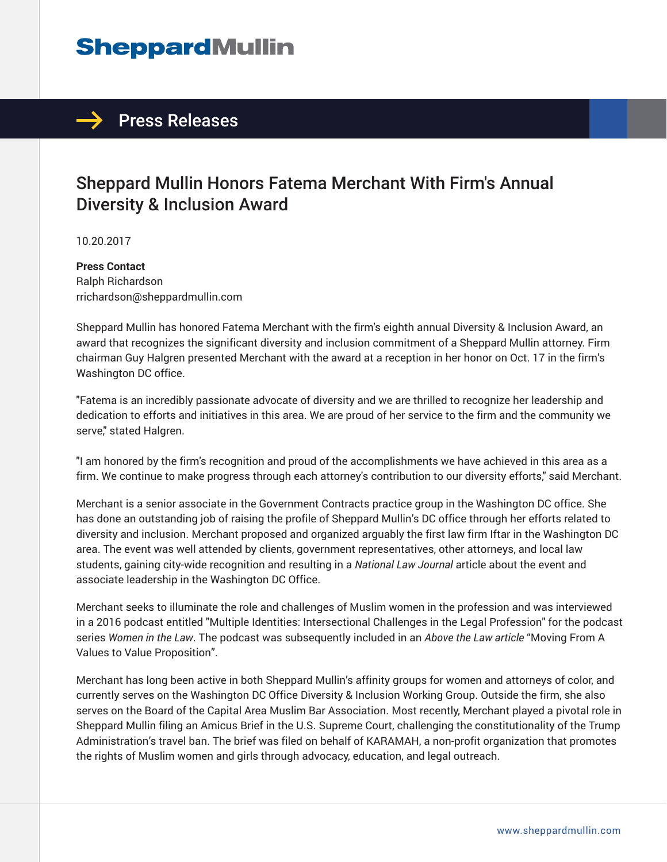# **SheppardMullin**

### $\rightarrow$  Press Releases

## Sheppard Mullin Honors Fatema Merchant With Firm's Annual Diversity & Inclusion Award

10.20.2017

**Press Contact** Ralph Richardson rrichardson@sheppardmullin.com

Sheppard Mullin has honored Fatema Merchant with the firm's eighth annual Diversity & Inclusion Award, an award that recognizes the significant diversity and inclusion commitment of a Sheppard Mullin attorney. Firm chairman Guy Halgren presented Merchant with the award at a reception in her honor on Oct. 17 in the firm's Washington DC office.

"Fatema is an incredibly passionate advocate of diversity and we are thrilled to recognize her leadership and dedication to efforts and initiatives in this area. We are proud of her service to the firm and the community we serve," stated Halgren.

"I am honored by the firm's recognition and proud of the accomplishments we have achieved in this area as a firm. We continue to make progress through each attorney's contribution to our diversity efforts," said Merchant.

Merchant is a senior associate in the Government Contracts practice group in the Washington DC office. She has done an outstanding job of raising the profile of Sheppard Mullin's DC office through her efforts related to diversity and inclusion. Merchant proposed and organized arguably the first law firm Iftar in the Washington DC area. The event was well attended by clients, government representatives, other attorneys, and local law students, gaining city-wide recognition and resulting in a *National Law Journal* article about the event and associate leadership in the Washington DC Office.

Merchant seeks to illuminate the role and challenges of Muslim women in the profession and was interviewed in a 2016 podcast entitled "Multiple Identities: Intersectional Challenges in the Legal Profession" for the podcast series *Women in the Law*. The podcast was subsequently included in an *Above the Law article* "Moving From A Values to Value Proposition".

Merchant has long been active in both Sheppard Mullin's affinity groups for women and attorneys of color, and currently serves on the Washington DC Office Diversity & Inclusion Working Group. Outside the firm, she also serves on the Board of the Capital Area Muslim Bar Association. Most recently, Merchant played a pivotal role in Sheppard Mullin filing an Amicus Brief in the U.S. Supreme Court, challenging the constitutionality of the Trump Administration's travel ban. The brief was filed on behalf of KARAMAH, a non-profit organization that promotes the rights of Muslim women and girls through advocacy, education, and legal outreach.